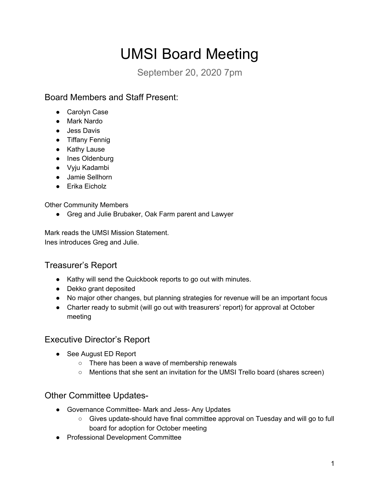# UMSI Board Meeting

September 20, 2020 7pm

## Board Members and Staff Present:

- Carolyn Case
- Mark Nardo
- Jess Davis
- Tiffany Fennig
- Kathy Lause
- Ines Oldenburg
- Vyju Kadambi
- Jamie Sellhorn
- $\bullet$  Erika Eicholz

**Other Community Members** 

• Greg and Julie Brubaker, Oak Farm parent and Lawyer

Mark reads the UMSI Mission Statement. Ines introduces Greg and Julie.

## Treasurer's Report

- Kathy will send the Quickbook reports to go out with minutes.
- Dekko grant deposited
- No major other changes, but planning strategies for revenue will be an important focus
- Charter ready to submit (will go out with treasurers' report) for approval at October meeting

#### Executive Director's Report

- See August ED Report
	- $\circ$  There has been a wave of membership renewals
	- $\circ$  Mentions that she sent an invitation for the UMSI Trello board (shares screen)

#### Other Committee Updates-

- Governance Committee- Mark and Jess- Any Updates
	- $\circ$  Gives update-should have final committee approval on Tuesday and will go to full board for adoption for October meeting
- Professional Development Committee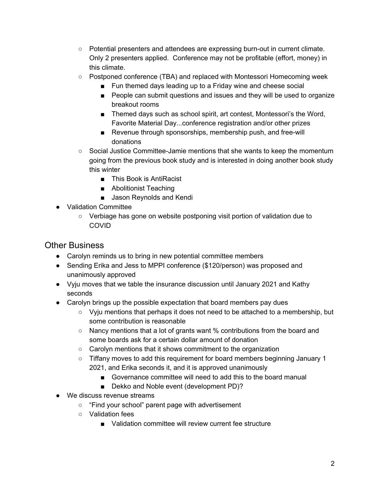- $\circ$  Potential presenters and attendees are expressing burn-out in current climate. Only 2 presenters applied. Conference may not be profitable (effort, money) in this climate.
- $\circ$  Postponed conference (TBA) and replaced with Montessori Homecoming week
	- $\blacksquare$  Fun themed days leading up to a Friday wine and cheese social
	- $\blacksquare$  People can submit questions and issues and they will be used to organize breakout rooms
	- $\blacksquare$  Themed days such as school spirit, art contest, Montessori's the Word, Favorite Material Day...conference registration and/or other prizes
	- Revenue through sponsorships, membership push, and free-will donations
- $\circ$  Social Justice Committee-Jamie mentions that she wants to keep the momentum going from the previous book study and is interested in doing another book study this winter
	- This Book is AntiRacist
	- Abolitionist Teaching
	- Jason Reynolds and Kendi
- Validation Committee
	- $\circ$  Verbiage has gone on website postponing visit portion of validation due to COVID

#### Other Business

- Carolyn reminds us to bring in new potential committee members
- Sending Erika and Jess to MPPI conference (\$120/person) was proposed and unanimousl\ approved
- Vyju moves that we table the insurance discussion until January 2021 and Kathy seconds
- $\bullet$  Carolyn brings up the possible expectation that board members pay dues
	- $\circ$  Vyju mentions that perhaps it does not need to be attached to a membership, but some contribution is reasonable
	- $\circ$  Nancy mentions that a lot of grants want % contributions from the board and some boards ask for a certain dollar amount of donation
	- $\circ$  Carolyn mentions that it shows commitment to the organization
	- $\circ$  Tiffany moves to add this requirement for board members beginning January 1 2021, and Erika seconds it, and it is approved unanimously
		- Governance committee will need to add this to the board manual
		- $\Box$  Dekko and Noble event (development PD)?
- We discuss revenue streams
	- $\circ$  "Find your school" parent page with advertisement
	- $\circ$  Validation fees
		- Validation committee will review current fee structure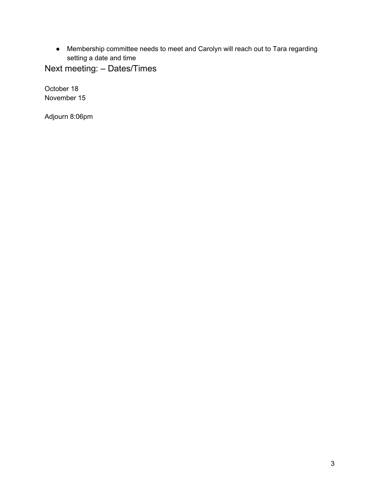• Membership committee needs to meet and Carolyn will reach out to Tara regarding setting a date and time

Next meeting:  $-$  Dates/Times

October 18 November 15

Adjourn 8:06pm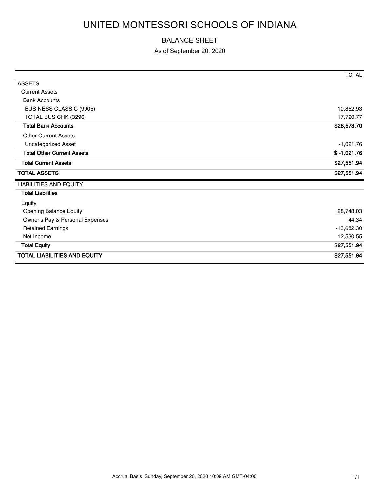# UNITED MONTESSORI SCHOOLS OF INDIANA

#### BALANCE SHEET

As of September 20, 2020

|                                     | <b>TOTAL</b>  |
|-------------------------------------|---------------|
| <b>ASSETS</b>                       |               |
| <b>Current Assets</b>               |               |
| <b>Bank Accounts</b>                |               |
| BUSINESS CLASSIC (9905)             | 10,852.93     |
| TOTAL BUS CHK (3296)                | 17,720.77     |
| <b>Total Bank Accounts</b>          | \$28,573.70   |
| <b>Other Current Assets</b>         |               |
| <b>Uncategorized Asset</b>          | $-1,021.76$   |
| <b>Total Other Current Assets</b>   | $$ -1,021.76$ |
| <b>Total Current Assets</b>         | \$27,551.94   |
| <b>TOTAL ASSETS</b>                 | \$27,551.94   |
| <b>LIABILITIES AND EQUITY</b>       |               |
| <b>Total Liabilities</b>            |               |
| Equity                              |               |
| <b>Opening Balance Equity</b>       | 28,748.03     |
| Owner's Pay & Personal Expenses     | $-44.34$      |
| <b>Retained Earnings</b>            | $-13,682.30$  |
| Net Income                          | 12,530.55     |
| <b>Total Equity</b>                 | \$27,551.94   |
| <b>TOTAL LIABILITIES AND EQUITY</b> | \$27,551.94   |